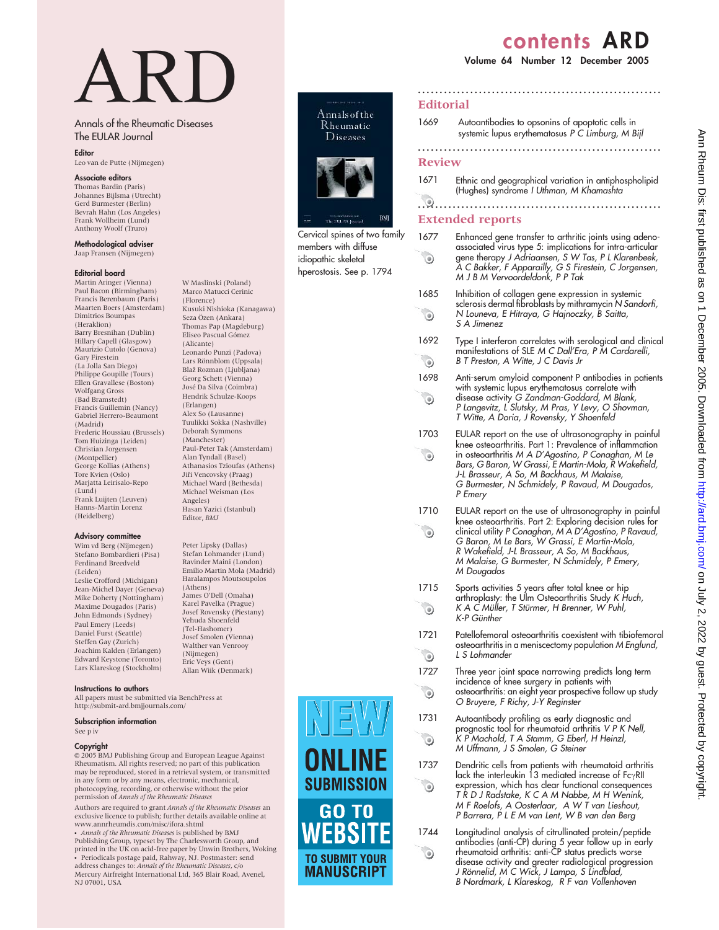# contents ARD

# Volume 64 Number 12 December 2005

# ARD

W Maslinski (Poland) Marco Matucci Cerinic (Florence)

Kusuki Nishioka (Kanagawa) Seza Özen (Ankara) Thomas Pap (Magdeburg) Eliseo Pascual Gómez (Alicante)

Leonardo Punzi (Padova) Lars Rönnblom (Uppsala) Blaž Rozman (Ljubljana) Georg Schett (Vienna) Jose´ Da Silva (Coimbra) Hendrik Schulze-Koops (Erlangen) Alex So (Lausanne) Tuulikki Sokka (Nashville) Deborah Symmons (Manchester)

Paul-Peter Tak (Amsterdam) Alan Tyndall (Basel) Athanasios Tzioufas (Athens) Jiři Vencovsky (Praag) Michael Ward (Bethesda) Michael Weisman (Los

Hasan Yazici (Istanbul) Editor, BMJ

Peter Lipsky (Dallas) Stefan Lohmander (Lund) Ravinder Maini (London) Emilio Martin Mola (Madrid) Haralampos Moutsoupolos

Angeles)

(Athens) James O'Dell (Omaha) Karel Pavelka (Prague) Josef Rovensky (Piestany) Yehuda Shoenfeld (Tel-Hashomer) Josef Smolen (Vienna) Walther van Venrooy (Nijmegen) Eric Veys (Gent) Allan Wiik (Denmark)

# Annals of the Rheumatic Diseases The EULAR Journal

Editor

# Leo van de Putte (Nijmegen)

## Associate editors

Thomas Bardin (Paris) Johannes Bijlsma (Utrecht) Gerd Burmester (Berlin) Bevrah Hahn (Los Angeles) Frank Wollheim (Lund) Anthony Woolf (Truro)

Methodological adviser Jaap Fransen (Nijmegen)

#### Editorial board

Martin Aringer (Vienna) Paul Bacon (Birmingham) Francis Berenbaum (Paris) Maarten Boers (Amsterdam) Dimitrios Boumpas (Heraklion) Barry Bresnihan (Dublin) Hillary Capell (Glasgow) Maurizio Cutolo (Genova) Gary Firestein (La Jolla San Diego) Philippe Goupille (Tours) Ellen Gravallese (Boston) Wolfgang Gross (Bad Bramstedt) Francis Guillemin (Nancy) Gabriel Herrero-Beaumont (Madrid) Frederic Houssiau (Brussels) Tom Huizinga (Leiden) Christian Jorgensen (Montpellier) George Kollias (Athens) Tore Kvien (Oslo) Marjatta Leirisalo-Repo (Lund) Frank Luijten (Leuven) Hanns-Martin Lorenz (Heidelberg)

#### Advisory committee

Wim vd Berg (Nijmegen) Stefano Bombardieri (Pisa) Ferdinand Breedveld (Leiden) Leslie Crofford (Michigan) Jean-Michel Dayer (Geneva) Mike Doherty (Nottingham) Maxime Dougados (Paris) John Edmonds (Sydney) Paul Emery (Leeds) Daniel Furst (Seattle) Steffen Gay (Zurich) Joachim Kalden (Erlangen) Edward Keystone (Toronto) Lars Klareskog (Stockholm)

#### Instructions to authors

All papers must be submitted via BenchPress at http://submit-ard.bmjjournals.com/

#### Subscription information

See p iv

#### Copyright

 $@$  2005 BMJ Publishing Group and European League Against Rheumatism. All rights reserved; no part of this publication may be reproduced, stored in a retrieval system, or transmitted in any form or by any means, electronic, mechanical, photocopying, recording, or otherwise without the prior<br>permission of Annals of the Rheumatic Diseases

Authors are required to grant *Annals of the Rheumatic Diseases* an<br>exclusive licence to publish; further details available online at www.annrheumdis.com/misc/ifora.shtml

• *Annals of the Rheumatic Diseases* is published by BMJ<br>Publishing Group, typeset by The Charlesworth Group, and<br>printed in the UK on acid-free paper by Unwin Brothers, Woking Periodicals postage paid, Rahway, NJ. Postmaster: send address changes to: Annals of the Rheumatic Diseases, c/o Mercury Airfreight International Ltd, 365 Blair Road, Avenel, NJ 07001, USA



Cervical spines of two family members with diffuse idiopathic skeletal hperostosis. See p. 1794

# **Editorial**

1669 Autoantibodies to opsonins of apoptotic cells in systemic lupus erythematosus P C Limburg, M Bijl

........................................................

### Review

 $\odot$ 

 $\bullet$ 

 $\odot$ 

 $\odot$ 

 $\odot$ 

 $\odot$ 

1671 Ethnic and geographical variation in antiphospholipid (Hughes) syndrome I Uthman, M Khamashta

........................................................

# ........................................................

# Extended reports

- 1677 Enhanced gene transfer to arthritic joints using adenoassociated virus type 5: implications for intra-articular  $\odot$ gene therapy J Adriaansen, S W Tas, P L Klarenbeek, A C Bakker, F Apparailly, G S Firestein, C Jorgensen, M J B M Vervoordeldonk, P P Tak
- 1685 Inhibition of collagen gene expression in systemic sclerosis dermal fibroblasts by mithramycin N Sandorfi, N Louneva, E Hitraya, G Hajnoczky, B Saitta, S A Jimenez
- 1692 Type I interferon correlates with serological and clinical manifestations of SLE M C Dall'Era, P M Cardarelli,  $\odot$ B T Preston, A Witte, J C Davis Jr
- 1698 Anti-serum amyloid component P antibodies in patients with systemic lupus erythematosus correlate with  $\odot$ disease activity G Zandman-Goddard, M Blank,
	- P Langevitz, L Slutsky, M Pras, Y Levy, O Shovman, T Witte, A Doria, J Rovensky, Y Shoenfeld
- 1703 EULAR report on the use of ultrasonography in painful knee osteoarthritis. Part 1: Prevalence of inflammation  $\odot$ in osteoarthritis M A D'Agostino, P Conaghan, M Le Bars, G Baron, W Grassi, E Martin-Mola, R Wakefield, J-L Brasseur, A So, M Backhaus, M Malaise, G Burmester, N Schmidely, P Ravaud, M Dougados, P Emery
- 1710 EULAR report on the use of ultrasonography in painful knee osteoarthritis. Part 2: Exploring decision rules for  $\odot$ clinical utility P Conaghan, M A D'Agostino, P Ravaud, G Baron, M Le Bars, W Grassi, E Martin-Mola, R Wakefield, J-L Brasseur, A So, M Backhaus, M Malaise, G Burmester, N Schmidely, P Emery, M Dougados
- 1715 Sports activities 5 years after total knee or hip arthroplasty: the Ulm Osteoarthritis Study K Huch,  $\odot$ K A C Müller, T Stürmer, H Brenner, W Puhl, K-P Günther
- 1721 Patellofemoral osteoarthritis coexistent with tibiofemoral osteoarthritis in a meniscectomy population M Englund, L S Lohmander
- 1727 Three year joint space narrowing predicts long term incidence of knee surgery in patients with osteoarthritis: an eight year prospective follow up study O Bruyere, F Richy, J-Y Reginster
- 1731 Autoantibody profiling as early diagnostic and prognostic tool for rheumatoid arthritis V P K Nell, K P Machold, T A Stamm, G Eberl, H Heinzl, M Uffmann, J S Smolen, G Steiner
- 1737 Dendritic cells from patients with rheumatoid arthritis lack the interleukin 13 mediated increase of Fc $\gamma$ RII expression, which has clear functional consequences T R D J Radstake, K C A M Nabbe, M H Wenink, M F Roelofs, A Oosterlaar, A W T van Lieshout, P Barrera, P L E M van Lent, W B van den Berg
- 1744 Longitudinal analysis of citrullinated protein/peptide antibodies (anti-CP) during 5 year follow up in early rheumatoid arthritis: anti-CP status predicts worse disease activity and greater radiological progression J Rönnelid, M C Wick, J Lampa, S Lindblad, B Nordmark, L Klareskog, R F van Vollenhoven



**MANUSCRIPT**